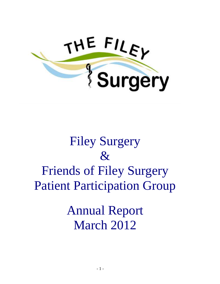

# Filey Surgery  $\mathcal{R}_{I}$ Friends of Filey Surgery Patient Participation Group

Annual Report March 2012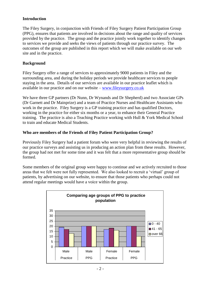## **Introduction**

The Filey Surgery, in conjunction with Friends of Filey Surgery Patient Participation Group (PPG), ensures that patients are involved in decisions about the range and quality of services provided by the practice. The group and the practice jointly work together to identify changes to services we provide and seeks the views of patients through our practice survey. The outcomes of the group are published in this report which we will make available on our web site and in the practice.

## **Background**

Filey Surgery offer a range of services to approximately 9000 patients in Filey and the surrounding area, and during the holiday periods we provide healthcare services to people staying in the area. Details of our services are available in our practice leaflet which is available in our practice and on our website – [www.fileysurgery.co.uk](http://www.fileysurgery.co.uk/)

We have three GP partners (Dr Nunn, Dr Wynands and Dr Shepherd) and two Associate GPs (Dr Garnett and Dr Mainprize) and a team of Practice Nurses and Healthcare Assistants who work in the practice. Filey Surgery is a GP training practice and has qualified Doctors, working in the practice for either six months or a year, to enhance their General Practice training. The practice is also a Teaching Practice working with Hull & York Medical School to train and educate Medical Students.

## **Who are members of the Friends of Filey Patient Participation Group?**

Previously Filey Surgery had a patient forum who were very helpful in reviewing the results of our practice surveys and assisting us in producing an action plan from these results. However, the group had not met for some time and it was felt that a more representative group should be formed.

Some members of the original group were happy to continue and we actively recruited to those areas that we felt were not fully represented. We also looked to recruit a 'virtual' group of patients, by advertising on our website, to ensure that those patients who perhaps could not attend regular meetings would have a voice within the group.

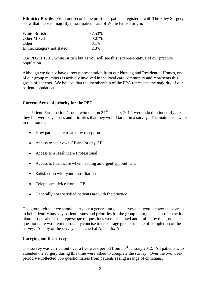**Ethnicity Profile**: From our records the profile of patients registered with The Filey Surgery show that the vast majority of our patients are of White British origin.

| White British              | 97.53%  |
|----------------------------|---------|
| Other Mixed                | 0.07%   |
| <b>Other</b>               | $0.1\%$ |
| Ethnic category not stated | 2.3%    |

Our PPG is 100% white British but as you will see this is representative of our practice population.

Although we do not have direct representation from our Nursing and Residential Homes, one of our group members is actively involved in the local care community and represents this group of patients. We believe that the membership of the PPG represents the majority of our patient population.

## **Current Areas of priority for the PPG**

The Patient Participation Group, who met on  $24<sup>th</sup>$  January 2012, were asked to indentify areas they felt were key issues and priorities that they would target in a survey. The main areas were in relation to:

- How patients are treated by reception
- Access to your own GP and/or any GP
- Access to a Healthcare Professional
- Access to healthcare when needing an urgent appointment
- Satisfaction with your consultation
- Telephone advice from a GP
- Generally how satisfied patients are with the practice

The group felt that we should carry out a general targeted survey that would cover these areas to help identify any key patient issues and priorities for the group to target as part of an action plan. Proposals for the type/scope of questions were discussed and drafted by the group. The questionnaire was kept reasonably concise to encourage greater uptake of completion of the survey. A copy of the survey is attached at Appendix A.

## **Carrying out the survey**

The survey was carried out over a two week period from  $30<sup>th</sup>$  January 2012. All patients who attended the surgery during this time were asked to complete the survey. Over the two week period we collected 355 questionnaires from patients seeing a range of clinicians.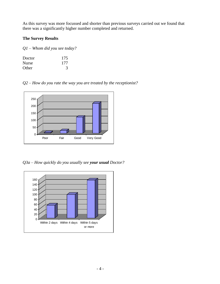As this survey was more focussed and shorter than previous surveys carried out we found that there was a significantly higher number completed and returned.

## **The Survey Results**

*Q1 – Whom did you see today?*

| Doctor       | 175 |
|--------------|-----|
| <b>Nurse</b> | 177 |
| Other        | 3   |

*Q2 – How do you rate the way you are treated by the receptionist?*



*Q3a – How quickly do you usually see your usual Doctor?*

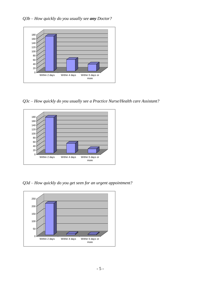

*Q3c – How quickly do you usually see a Practice Nurse/Health care Assistant?*



*Q3d – How quickly do you get seen for an urgent appointment?*

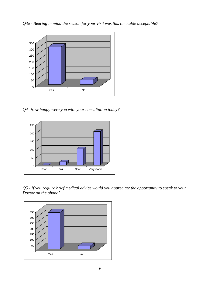*Q3e - Bearing in mind the reason for your visit was this timetable acceptable?*



*Q4- How happy were you with your consultation today?*



*Q5 - If you require brief medical advice would you appreciate the opportunity to speak to your Doctor on the phone?*

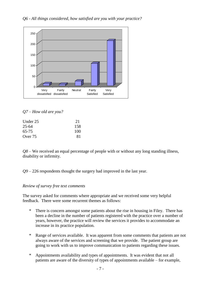

## *Q7 – How old are you?*

| Under 25  | 21  |
|-----------|-----|
| $25 - 64$ | 158 |
| 65-75     | 100 |
| Over 75   | 81  |

*Q8 –* We received an equal percentage of people with or without any long standing illness, disability or infirmity.

*Q9 –* 226 respondents thought the surgery had improved in the last year.

## *Review of survey free text comments*

The survey asked for comments where appropriate and we received some very helpful feedback. There were some recurrent themes as follows:

- \* There is concern amongst some patients about the rise in housing in Filey. There has been a decline in the number of patients registered with the practice over a number of years, however, the practice will review the services it provides to accommodate an increase in its practice population.
- \* Range of services available. It was apparent from some comments that patients are not always aware of the services and screening that we provide. The patient group are going to work with us to improve communication to patients regarding these issues.
- \* Appointments availability and types of appointments. It was evident that not all patients are aware of the diversity of types of appointments available – for example,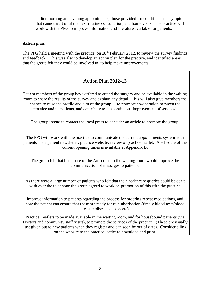earlier morning and evening appointments, those provided for conditions and symptoms that cannot wait until the next routine consultation, and home visits. The practice will work with the PPG to improve information and literature available for patients.

## **Action plan:**

The PPG held a meeting with the practice, on  $28<sup>th</sup>$  February 2012, to review the survey findings and feedback. This was also to develop an action plan for the practice, and identified areas that the group felt they could be involved in, to help make improvements.

## **Action Plan 2012-13**

Patient members of the group have offered to attend the surgery and be available in the waiting room to share the results of the survey and explain any detail. This will also give members the chance to raise the profile and aim of the group – 'to promote co-operation between the practice and its patients, and contribute to the continuous improvement of services'

The group intend to contact the local press to consider an article to promote the group.

The PPG will work with the practice to communicate the current appointments system with patients – via patient newsletter, practice website, review of practice leaflet. A schedule of the current opening times is available at Appendix B.

The group felt that better use of the Amscreen in the waiting room would improve the communication of messages to patients.

As there were a large number of patients who felt that their healthcare queries could be dealt with over the telephone the group agreed to work on promotion of this with the practice

Improve information to patients regarding the process for ordering repeat medications, and how the patient can ensure that these are ready for re-authorisation (timely blood tests/blood pressure/disease checks etc).

Practice Leaflets to be made available in the waiting room, and for housebound patients (via Doctors and community staff visits), to promote the services of the practice. (These are usually just given out to new patients when they register and can soon be out of date). Consider a link on the website to the practice leaflet to download and print.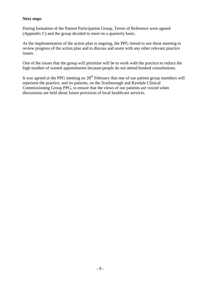## **Next steps**

During formation of the Patient Participation Group, Terms of Reference were agreed (Appendix C) and the group decided to meet on a quarterly basis.

As the implementation of the action plan is ongoing, the PPG intend to use these meeting to review progress of the action plan and to discuss and assist with any other relevant practice issues.

One of the issues that the group will prioritise will be to work with the practice to reduce the high number of wasted appointments because people do not attend booked consultations.

It was agreed at the PPG meeting on  $28<sup>th</sup>$  February that one of our patient group members will represent the practice, and its patients, on the Scarborough and Ryedale Clinical Commissioning Group PPG, to ensure that the views of our patients are voiced when discussions are held about future provision of local healthcare services.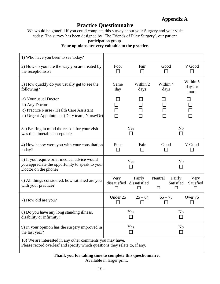## **Practice Questionnaire**

We would be grateful if you could complete this survey about your Surgery and your visit today. The survey has been designed by 'The Friends of Filey Surgery', our patient participation group.

## **Your opinions are very valuable to the practice.**

| 1) Who have you been to see today?                                                                                                      |                      |                                          |                  |                                                    |
|-----------------------------------------------------------------------------------------------------------------------------------------|----------------------|------------------------------------------|------------------|----------------------------------------------------|
| 2) How do you rate the way you are treated by<br>the receptionists?                                                                     | Poor<br>$\mathsf{L}$ | Fair                                     | Good             | V Good                                             |
| 3) How quickly do you usually get to see the<br>following?                                                                              | Same<br>day          | Within 2<br>days                         | Within 4<br>days | Within 5<br>days or<br>more                        |
| a) Your usual Doctor<br>b) Any Doctor<br>c) Practice Nurse / Health Care Assistant<br>d) Urgent Appointment (Duty team, Nurse/Dr)       |                      |                                          |                  |                                                    |
| 3a) Bearing in mind the reason for your visit<br>was this timetable acceptable                                                          |                      | Yes                                      |                  | N <sub>0</sub><br>П                                |
| 4) How happy were you with your consultation<br>today?                                                                                  | Poor<br>П            | Fair<br>ΙI                               | Good<br>H        | V Good                                             |
| 5) If you require brief medical advice would<br>you appreciate the opportunity to speak to your<br>Doctor on the phone?                 |                      | Yes                                      |                  | N <sub>0</sub><br>$\Box$                           |
| 6) All things considered, how satisfied are you<br>with your practice?                                                                  | Very<br>П            | Fairly<br>dissatisfied dissatisfied<br>П | Neutral<br>□     | Fairly<br>Very<br>Satisfied<br>Satisfied<br>□<br>П |
| 7) How old are you?                                                                                                                     | Under 25<br>$\Box$   | $25 - 64$                                | $65 - 75$        | Over 75<br>П                                       |
| 8) Do you have any long standing illness,<br>disability or infirmity?                                                                   |                      | Yes                                      |                  | No                                                 |
| 9) In your opinion has the surgery improved in<br>the last year?                                                                        |                      | Yes<br>П                                 |                  | N <sub>0</sub><br>П                                |
| 10) We are interested in any other comments you may have.<br>Please record overleaf and specify which questions they relate to, if any. |                      |                                          |                  |                                                    |

**Thank you for taking time to complete this questionnaire.**

Available in larger print.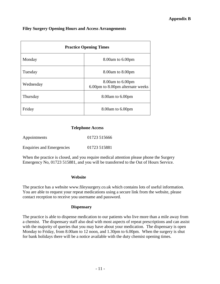### **Filey Surgery Opening Hours and Access Arrangements**

| <b>Practice Opening Times</b> |                                                            |  |
|-------------------------------|------------------------------------------------------------|--|
| Monday                        | $8.00$ am to $6.00$ pm                                     |  |
| Tuesday                       | 8.00am to 8.00pm                                           |  |
| Wednesday                     | $8.00$ am to $6.00$ pm<br>6.00pm to 8.00pm alternate weeks |  |
| Thursday                      | $8.00$ am to $6.00$ pm                                     |  |
| Friday                        | $8.00$ am to $6.00$ pm                                     |  |

#### **Telephone Access**

| Appointments                     | 01723 515666 |
|----------------------------------|--------------|
| <b>Enquiries and Emergencies</b> | 01723 515881 |

When the practice is closed, and you require medical attention please phone the Surgery Emergency No, 01723 515881, and you will be transferred to the Out of Hours Service.

#### **Website**

The practice has a website www.fileysurgery.co.uk which contains lots of useful information. You are able to request your repeat medications using a secure link from the website, please contact reception to receive you username and password.

#### **Dispensary**

The practice is able to dispense medication to our patients who live more than a mile away from a chemist. The dispensary staff also deal with most aspects of repeat prescriptions and can assist with the majority of queries that you may have about your medication. The dispensary is open Monday to Friday, from 8.00am to 12 noon, and 1.30pm to 6.00pm. When the surgery is shut for bank holidays there will be a notice available with the duty chemist opening times.